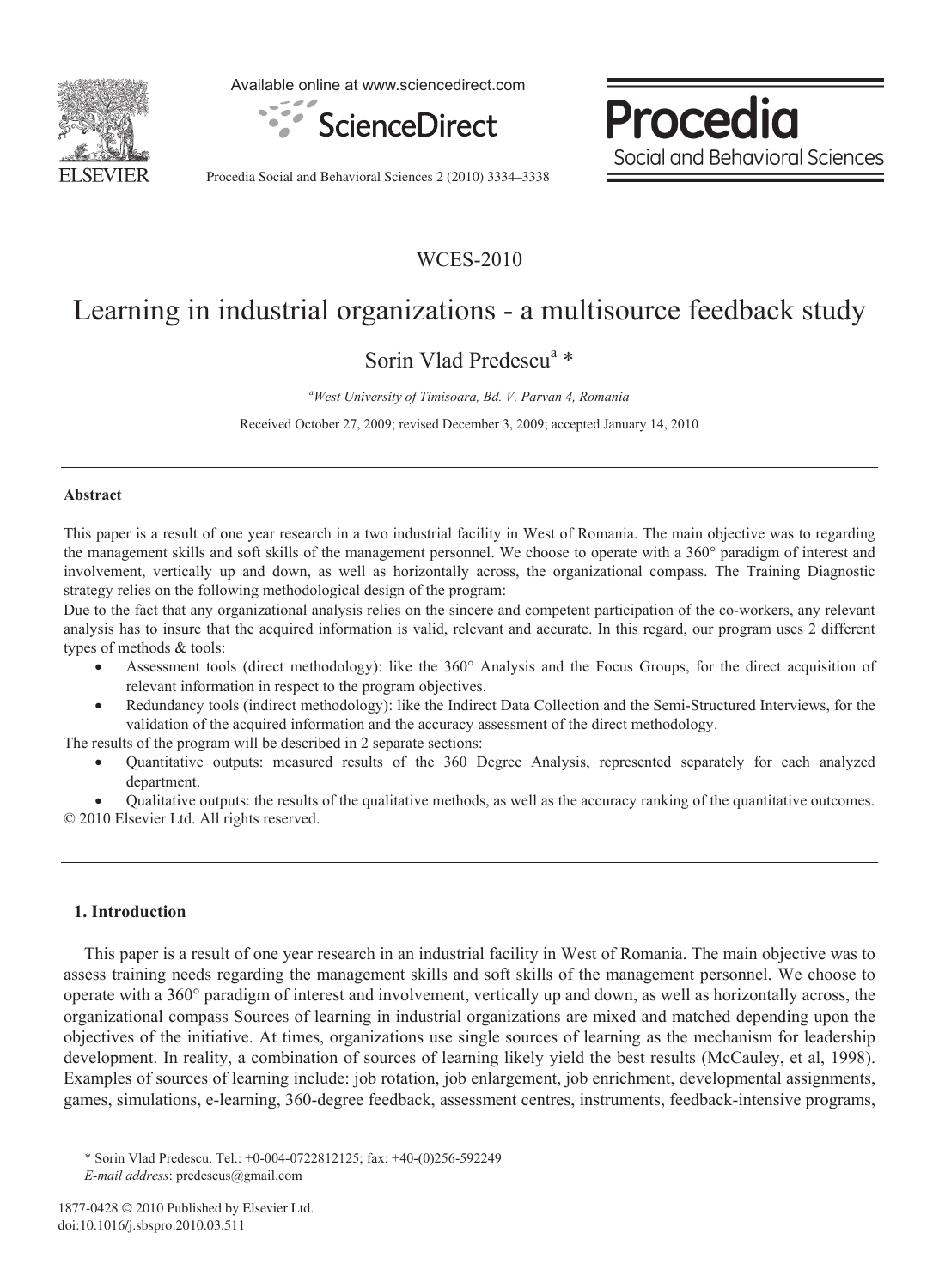

Available online at www.sciencedirect.com



Procedia Social and Behavioral Sciences

Procedia Social and Behavioral Sciences 2 (2010) 3334–3338

### WCES-2010

# Learning in industrial organizations - a multisource feedback study

## Sorin Vlad Predescu<sup>a</sup> \*

*a West University of Timisoara, Bd. V. Parvan 4, Romania* 

Received October 27, 2009; revised December 3, 2009; accepted January 14, 2010

#### **Abstract**

This paper is a result of one year research in a two industrial facility in West of Romania. The main objective was to regarding the management skills and soft skills of the management personnel. We choose to operate with a 360° paradigm of interest and involvement, vertically up and down, as well as horizontally across, the organizational compass. The Training Diagnostic strategy relies on the following methodological design of the program:

Due to the fact that any organizational analysis relies on the sincere and competent participation of the co-workers, any relevant analysis has to insure that the acquired information is valid, relevant and accurate. In this regard, our program uses 2 different types of methods & tools:

- x Assessment tools (direct methodology): like the 360° Analysis and the Focus Groups, for the direct acquisition of relevant information in respect to the program objectives.
- x Redundancy tools (indirect methodology): like the Indirect Data Collection and the Semi-Structured Interviews, for the validation of the acquired information and the accuracy assessment of the direct methodology.

The results of the program will be described in 2 separate sections:

x Quantitative outputs: measured results of the 360 Degree Analysis, represented separately for each analyzed department.

x Qualitative outputs: the results of the qualitative methods, as well as the accuracy ranking of the quantitative outcomes. © 2010 Elsevier Ltd. All rights reserved.

#### **1. Introduction**

This paper is a result of one year research in an industrial facility in West of Romania. The main objective was to assess training needs regarding the management skills and soft skills of the management personnel. We choose to operate with a 360° paradigm of interest and involvement, vertically up and down, as well as horizontally across, the organizational compass Sources of learning in industrial organizations are mixed and matched depending upon the objectives of the initiative. At times, organizations use single sources of learning as the mechanism for leadership development. In reality, a combination of sources of learning likely yield the best results (McCauley, et al, 1998). Examples of sources of learning include: job rotation, job enlargement, job enrichment, developmental assignments, games, simulations, e-learning, 360-degree feedback, assessment centres, instruments, feedback-intensive programs,

<sup>\*</sup> Sorin Vlad Predescu. Tel.: +0-004-0722812125; fax: +40-(0)256-592249 *E-mail address*: predescus@gmail.com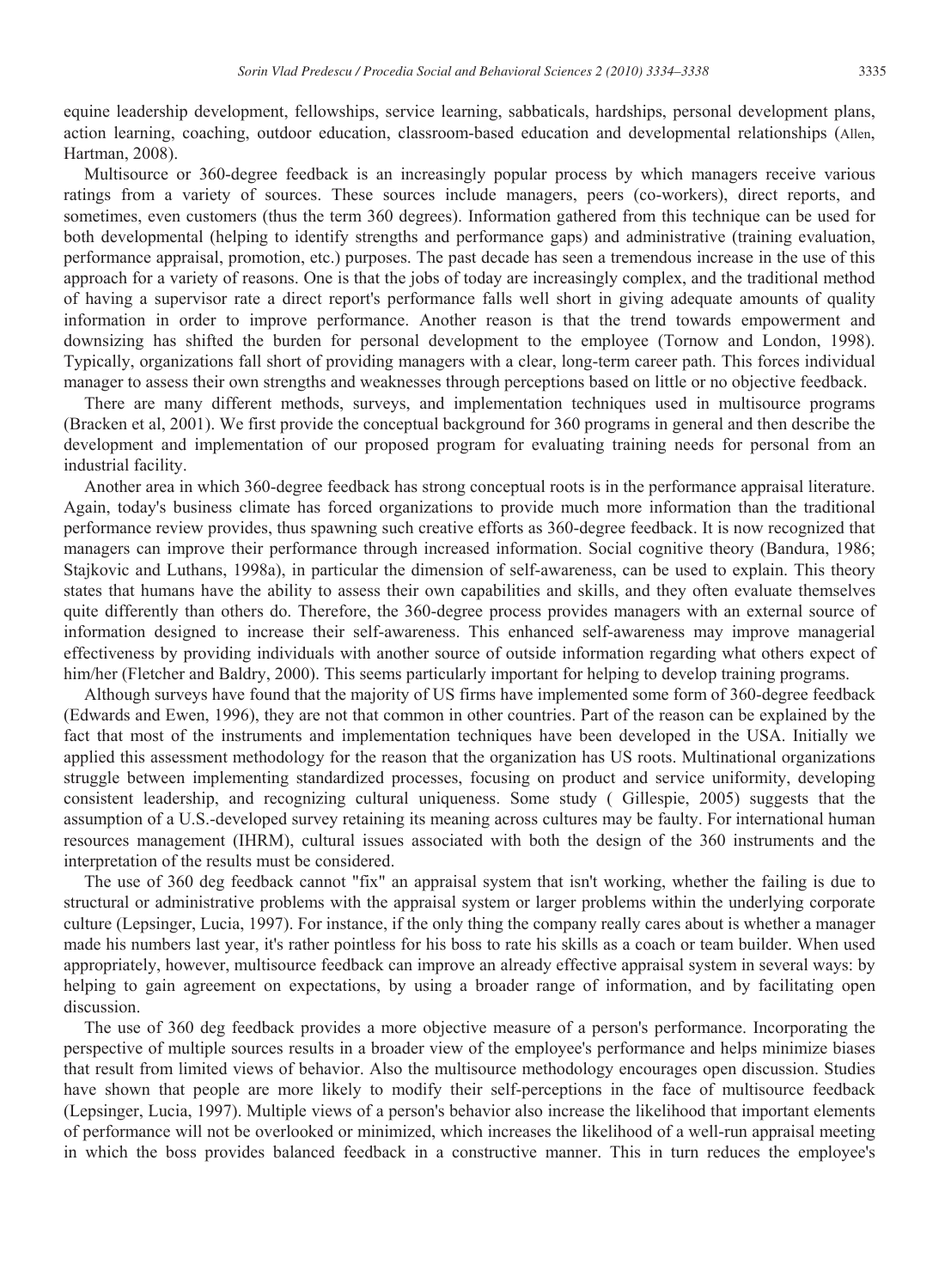equine leadership development, fellowships, service learning, sabbaticals, hardships, personal development plans, action learning, coaching, outdoor education, classroom-based education and developmental relationships (Allen, Hartman, 2008).

Multisource or 360-degree feedback is an increasingly popular process by which managers receive various ratings from a variety of sources. These sources include managers, peers (co-workers), direct reports, and sometimes, even customers (thus the term 360 degrees). Information gathered from this technique can be used for both developmental (helping to identify strengths and performance gaps) and administrative (training evaluation, performance appraisal, promotion, etc.) purposes. The past decade has seen a tremendous increase in the use of this approach for a variety of reasons. One is that the jobs of today are increasingly complex, and the traditional method of having a supervisor rate a direct report's performance falls well short in giving adequate amounts of quality information in order to improve performance. Another reason is that the trend towards empowerment and downsizing has shifted the burden for personal development to the employee (Tornow and London, 1998). Typically, organizations fall short of providing managers with a clear, long-term career path. This forces individual manager to assess their own strengths and weaknesses through perceptions based on little or no objective feedback.

There are many different methods, surveys, and implementation techniques used in multisource programs (Bracken et al, 2001). We first provide the conceptual background for 360 programs in general and then describe the development and implementation of our proposed program for evaluating training needs for personal from an industrial facility.

Another area in which 360-degree feedback has strong conceptual roots is in the performance appraisal literature. Again, today's business climate has forced organizations to provide much more information than the traditional performance review provides, thus spawning such creative efforts as 360-degree feedback. It is now recognized that managers can improve their performance through increased information. Social cognitive theory (Bandura, 1986; Stajkovic and Luthans, 1998a), in particular the dimension of self-awareness, can be used to explain. This theory states that humans have the ability to assess their own capabilities and skills, and they often evaluate themselves quite differently than others do. Therefore, the 360-degree process provides managers with an external source of information designed to increase their self-awareness. This enhanced self-awareness may improve managerial effectiveness by providing individuals with another source of outside information regarding what others expect of him/her (Fletcher and Baldry, 2000). This seems particularly important for helping to develop training programs.

Although surveys have found that the majority of US firms have implemented some form of 360-degree feedback (Edwards and Ewen, 1996), they are not that common in other countries. Part of the reason can be explained by the fact that most of the instruments and implementation techniques have been developed in the USA. Initially we applied this assessment methodology for the reason that the organization has US roots. Multinational organizations struggle between implementing standardized processes, focusing on product and service uniformity, developing consistent leadership, and recognizing cultural uniqueness. Some study ( Gillespie, 2005) suggests that the assumption of a U.S.-developed survey retaining its meaning across cultures may be faulty. For international human resources management (IHRM), cultural issues associated with both the design of the 360 instruments and the interpretation of the results must be considered.

The use of 360 deg feedback cannot "fix" an appraisal system that isn't working, whether the failing is due to structural or administrative problems with the appraisal system or larger problems within the underlying corporate culture (Lepsinger, Lucia, 1997). For instance, if the only thing the company really cares about is whether a manager made his numbers last year, it's rather pointless for his boss to rate his skills as a coach or team builder. When used appropriately, however, multisource feedback can improve an already effective appraisal system in several ways: by helping to gain agreement on expectations, by using a broader range of information, and by facilitating open discussion.

The use of 360 deg feedback provides a more objective measure of a person's performance. Incorporating the perspective of multiple sources results in a broader view of the employee's performance and helps minimize biases that result from limited views of behavior. Also the multisource methodology encourages open discussion. Studies have shown that people are more likely to modify their self-perceptions in the face of multisource feedback (Lepsinger, Lucia, 1997). Multiple views of a person's behavior also increase the likelihood that important elements of performance will not be overlooked or minimized, which increases the likelihood of a well-run appraisal meeting in which the boss provides balanced feedback in a constructive manner. This in turn reduces the employee's